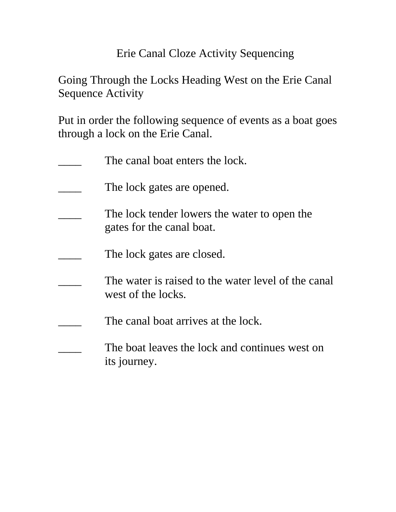## Erie Canal Cloze Activity Sequencing

## Going Through the Locks Heading West on the Erie Canal Sequence Activity

Put in order the following sequence of events as a boat goes through a lock on the Erie Canal.

| The canal boat enters the lock.                                           |
|---------------------------------------------------------------------------|
| The lock gates are opened.                                                |
| The lock tender lowers the water to open the<br>gates for the canal boat. |
| The lock gates are closed.                                                |
| The water is raised to the water level of the canal<br>west of the locks. |
| The canal boat arrives at the lock.                                       |
| The boat leaves the lock and continues west on<br>its journey.            |